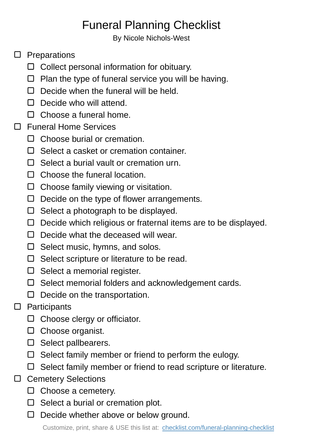## Funeral Planning Checklist

By Nicole Nichols-West

## $\square$  Preparations

- $\Box$  Collect personal information for obituary.
- $\Box$  Plan the type of funeral service you will be having.
- $\Box$  Decide when the funeral will be held.
- $\Box$  Decide who will attend.
- $\Box$  Choose a funeral home.
- □ Funeral Home Services
	- □ Choose burial or cremation.
	- $\Box$  Select a casket or cremation container.
	- $\Box$  Select a burial vault or cremation urn.
	- $\Box$  Choose the funeral location.
	- $\Box$  Choose family viewing or visitation.
	- $\Box$  Decide on the type of flower arrangements.
	- $\Box$  Select a photograph to be displayed.
	- $\Box$  Decide which religious or fraternal items are to be displayed.
	- $\Box$  Decide what the deceased will wear.
	- $\Box$  Select music, hymns, and solos.
	- $\square$  Select scripture or literature to be read.
	- $\Box$  Select a memorial register.
	- □ Select memorial folders and acknowledgement cards.
	- $\square$  Decide on the transportation.

## $\square$  Participants

- $\Box$  Choose clergy or officiator.
- $\Box$  Choose organist.
- $\square$  Select pallbearers.
- $\square$  Select family member or friend to perform the eulogy.
- $\Box$  Select family member or friend to read scripture or literature.
- □ Cemetery Selections
	- $\square$  Choose a cemetery.
	- $\square$  Select a burial or cremation plot.
	- $\Box$  Decide whether above or below ground.